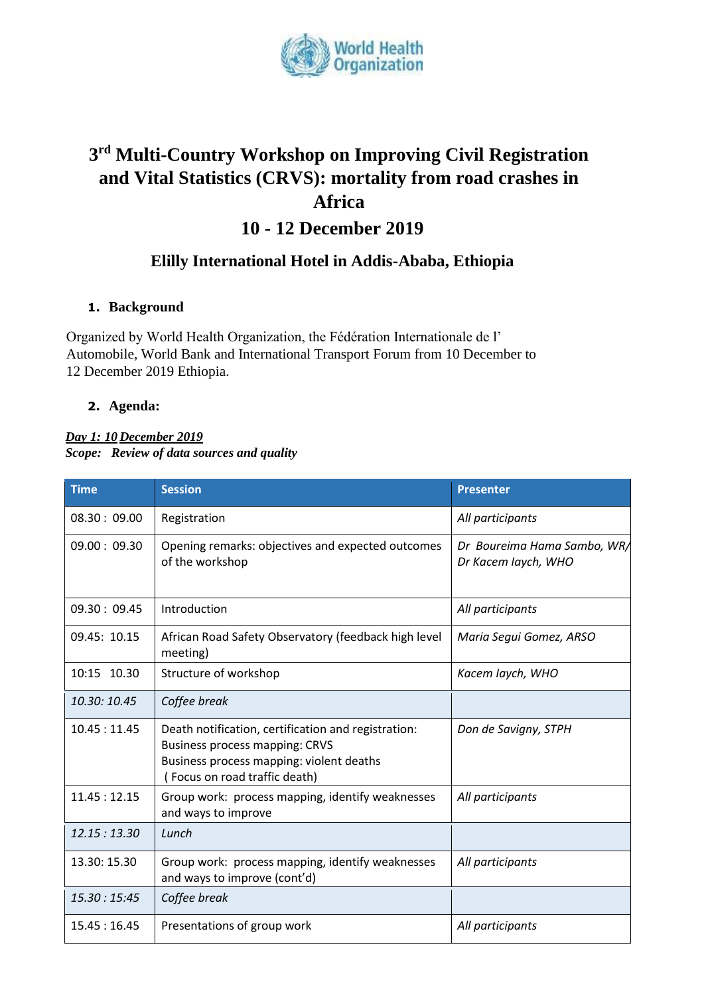

# **3 rd Multi-Country Workshop on Improving Civil Registration and Vital Statistics (CRVS): mortality from road crashes in Africa 10 - 12 December 2019**

# **Elilly International Hotel in Addis-Ababa, Ethiopia**

### **1. Background**

Organized by World Health Organization, the Fédération Internationale de l' Automobile, World Bank and International Transport Forum from 10 December to 12 December 2019 Ethiopia.

### **2. Agenda:**

#### *Day 1: 10 December 2019 Scope: Review of data sources and quality*

| <b>Time</b>  | <b>Session</b>                                                                                                                                                           | <b>Presenter</b>                                   |
|--------------|--------------------------------------------------------------------------------------------------------------------------------------------------------------------------|----------------------------------------------------|
| 08.30:09.00  | Registration                                                                                                                                                             | All participants                                   |
| 09.00:09.30  | Opening remarks: objectives and expected outcomes<br>of the workshop                                                                                                     | Dr Boureima Hama Sambo, WR/<br>Dr Kacem laych, WHO |
| 09.30:09.45  | Introduction                                                                                                                                                             | All participants                                   |
| 09.45: 10.15 | African Road Safety Observatory (feedback high level<br>meeting)                                                                                                         | Maria Segui Gomez, ARSO                            |
| 10:15 10.30  | Structure of workshop                                                                                                                                                    | Kacem laych, WHO                                   |
| 10.30: 10.45 | Coffee break                                                                                                                                                             |                                                    |
| 10.45:11.45  | Death notification, certification and registration:<br><b>Business process mapping: CRVS</b><br>Business process mapping: violent deaths<br>Focus on road traffic death) | Don de Savigny, STPH                               |
| 11.45:12.15  | Group work: process mapping, identify weaknesses<br>and ways to improve                                                                                                  | All participants                                   |
| 12.15:13.30  | Lunch                                                                                                                                                                    |                                                    |
| 13.30: 15.30 | Group work: process mapping, identify weaknesses<br>and ways to improve (cont'd)                                                                                         | All participants                                   |
| 15.30:15:45  | Coffee break                                                                                                                                                             |                                                    |
| 15.45:16.45  | Presentations of group work                                                                                                                                              | All participants                                   |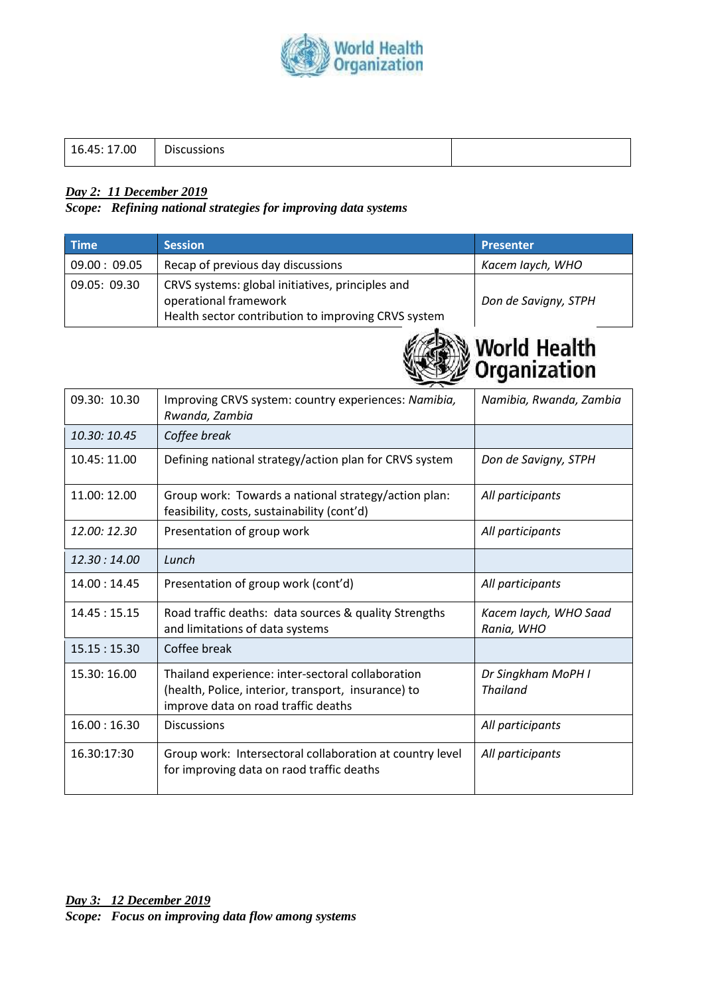

### *Day 2: 11 December 2019*

*Scope: Refining national strategies for improving data systems* 

| <b>Time</b>  | <b>Session</b>                                                                                                                   | <b>Presenter</b>     |
|--------------|----------------------------------------------------------------------------------------------------------------------------------|----------------------|
| 09.00: 09.05 | Recap of previous day discussions                                                                                                | Kacem laych, WHO     |
| 09.05: 09.30 | CRVS systems: global initiatives, principles and<br>operational framework<br>Health sector contribution to improving CRVS system | Don de Savigny, STPH |



| 09.30: 10.30 | Improving CRVS system: country experiences: Namibia,<br>Rwanda, Zambia                                                                          | Namibia, Rwanda, Zambia               |
|--------------|-------------------------------------------------------------------------------------------------------------------------------------------------|---------------------------------------|
| 10.30: 10.45 | Coffee break                                                                                                                                    |                                       |
| 10.45: 11.00 | Defining national strategy/action plan for CRVS system                                                                                          | Don de Savigny, STPH                  |
| 11.00: 12.00 | Group work: Towards a national strategy/action plan:<br>feasibility, costs, sustainability (cont'd)                                             | All participants                      |
| 12.00: 12.30 | Presentation of group work                                                                                                                      | All participants                      |
| 12.30:14.00  | Lunch                                                                                                                                           |                                       |
| 14.00:14.45  | Presentation of group work (cont'd)                                                                                                             | All participants                      |
| 14.45:15.15  | Road traffic deaths: data sources & quality Strengths<br>and limitations of data systems                                                        | Kacem laych, WHO Saad<br>Rania, WHO   |
| 15.15:15.30  | Coffee break                                                                                                                                    |                                       |
| 15.30: 16.00 | Thailand experience: inter-sectoral collaboration<br>(health, Police, interior, transport, insurance) to<br>improve data on road traffic deaths | Dr Singkham MoPH I<br><b>Thailand</b> |
| 16.00:16.30  | <b>Discussions</b>                                                                                                                              | All participants                      |
| 16.30:17:30  | Group work: Intersectoral collaboration at country level<br>for improving data on raod traffic deaths                                           | All participants                      |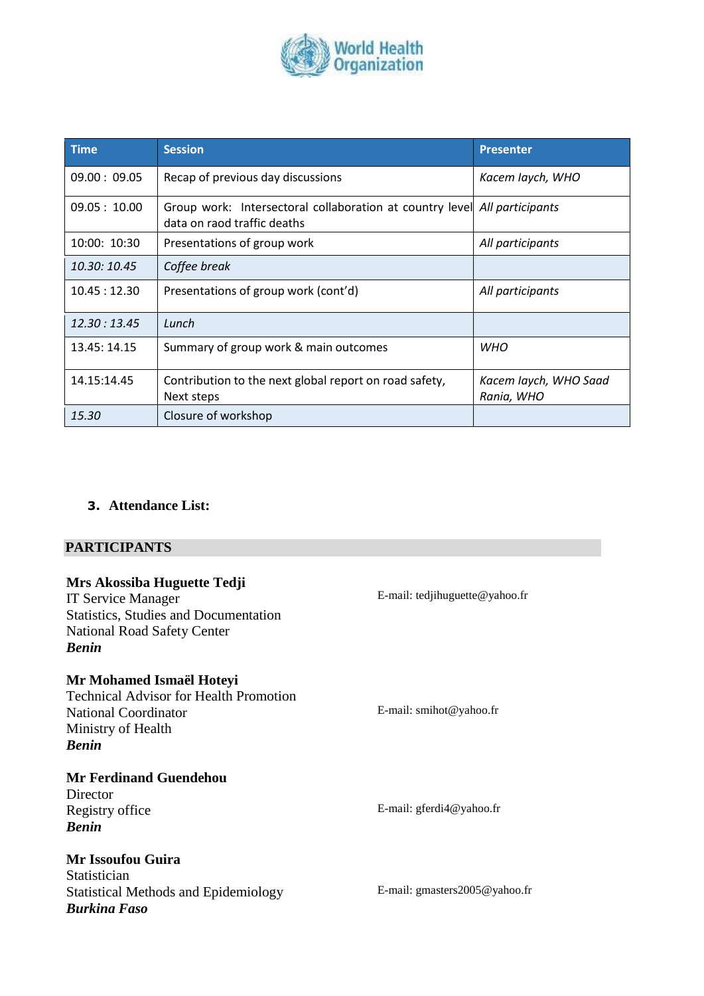

| <b>Time</b>  | <b>Session</b>                                                                                           | <b>Presenter</b>                    |
|--------------|----------------------------------------------------------------------------------------------------------|-------------------------------------|
| 09.00:09.05  | Recap of previous day discussions                                                                        | Kacem laych, WHO                    |
| 09.05:10.00  | Group work: Intersectoral collaboration at country level All participants<br>data on raod traffic deaths |                                     |
| 10:00: 10:30 | Presentations of group work                                                                              | All participants                    |
| 10.30: 10.45 | Coffee break                                                                                             |                                     |
| 10.45:12.30  | Presentations of group work (cont'd)                                                                     | All participants                    |
| 12.30:13.45  | Lunch                                                                                                    |                                     |
| 13.45: 14.15 | Summary of group work & main outcomes                                                                    | <b>WHO</b>                          |
| 14.15:14.45  | Contribution to the next global report on road safety,<br>Next steps                                     | Kacem laych, WHO Saad<br>Rania, WHO |
| 15.30        | Closure of workshop                                                                                      |                                     |

### **3. Attendance List:**

### **PARTICIPANTS**

| Mrs Akossiba Huguette Tedji<br><b>IT Service Manager</b><br><b>Statistics, Studies and Documentation</b><br><b>National Road Safety Center</b><br><b>Benin</b> | E-mail: tedjihuguette@yahoo.fr     |
|----------------------------------------------------------------------------------------------------------------------------------------------------------------|------------------------------------|
| Mr Mohamed Ismaël Hoteyi<br><b>Technical Advisor for Health Promotion</b><br><b>National Coordinator</b><br>Ministry of Health<br><b>Benin</b>                 | E-mail: smihot@yahoo.fr            |
| <b>Mr Ferdinand Guendehou</b><br>Director<br>Registry office<br><b>Benin</b>                                                                                   | E-mail: $gferdi4@yahoo.fr$         |
| <b>Mr Issoufou Guira</b><br>Statistician<br><b>Statistical Methods and Epidemiology</b><br><b>Burkina Faso</b>                                                 | E-mail: gmasters $2005$ @ yahoo.fr |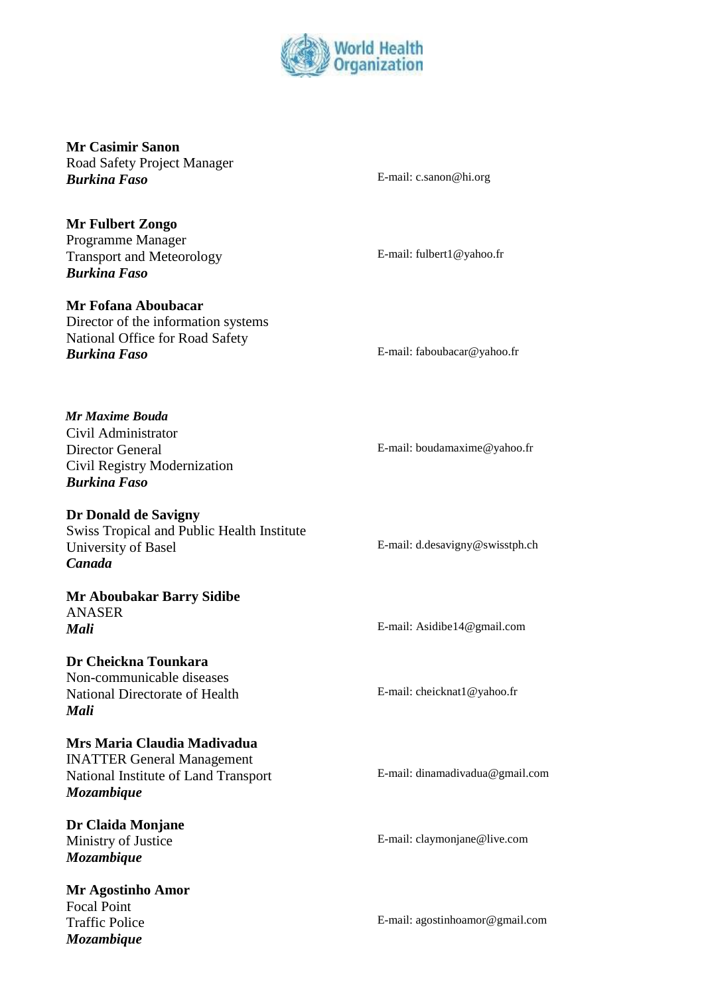

**Mr Casimir Sanon**  Road Safety Project Manager **Burking Faso** E-mail: c.sanon@hi.org

E-mail: fulbert1@yahoo.fr

**Mr Fulbert Zongo**  Programme Manager Transport and Meteorology *Burkina Faso* 

**Mr Fofana Aboubacar**  Director of the information systems National Office for Road Safety *Burkina Faso* E-mail: faboubacar@yahoo.fr

*Mr Maxime Bouda*  Civil Administrator Director General Civil Registry Modernization *Burkina Faso* 

**Dr Donald de Savigny**  Swiss Tropical and Public Health Institute University of Basel *Canada* 

**Mr Aboubakar Barry Sidibe**  ANASER *Mali* E-mail: Asidibe14@gmail.com

**Dr Cheickna Tounkara**  Non-communicable diseases National Directorate of Health *Mali* 

**Mrs Maria Claudia Madivadua**  INATTER General Management National Institute of Land Transport *Mozambique* 

**Dr Claida Monjane**  Ministry of Justice *Mozambique* 

**Mr Agostinho Amor**  Focal Point Traffic Police *Mozambique*

E-mail: boudamaxime@yahoo.fr

E-mail: d.desavigny@swisstph.ch

E-mail: cheicknat1@yahoo.fr

E-mail: dinamadivadua@gmail.com

E-mail: claymonjane@live.com

E-mail: agostinhoamor@gmail.com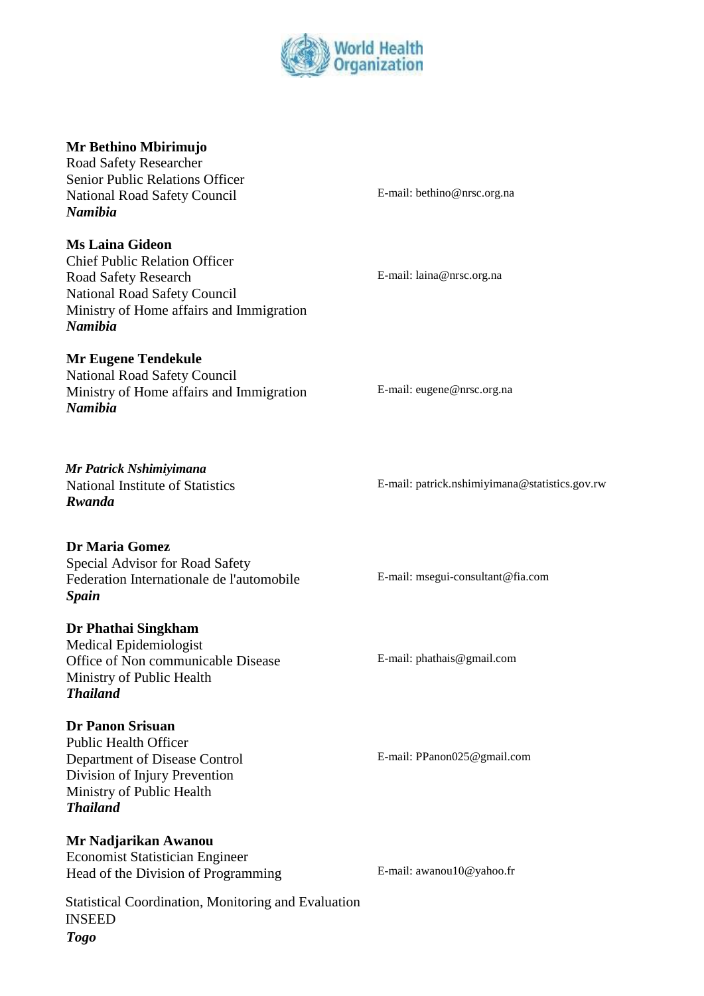

### **Mr Bethino Mbirimujo**

Road Safety Researcher Senior Public Relations Officer National Road Safety Council *Namibia* 

**Ms Laina Gideon** 

Chief Public Relation Officer Road Safety Research National Road Safety Council Ministry of Home affairs and Immigration *Namibia* 

### **Mr Eugene Tendekule**

National Road Safety Council Ministry of Home affairs and Immigration *Namibia* 

E-mail: bethino@nrsc.org.na

E-mail: laina@nrsc.org.na

E-mail: eugene@nrsc.org.na

E-mail: patrick.nshimiyimana@statistics.gov.rw

E-mail: msegui-consultant@fia.com

E-mail: phathais@gmail.com

E-mail: PPanon025@gmail.com

*Mr Patrick Nshimiyimana*  National Institute of Statistics *Rwanda* 

### **Dr Maria Gomez**

Special Advisor for Road Safety Federation Internationale de l'automobile *Spain* 

#### **Dr Phathai Singkham**

Medical Epidemiologist Office of Non communicable Disease Ministry of Public Health *Thailand* 

#### **Dr Panon Srisuan**

Public Health Officer Department of Disease Control Division of Injury Prevention Ministry of Public Health *Thailand* 

### **Mr Nadjarikan Awanou**

Economist Statistician Engineer Head of the Division of Programming E-mail: awanou10@yahoo.fr

Statistical Coordination, Monitoring and Evaluation INSEED *Togo*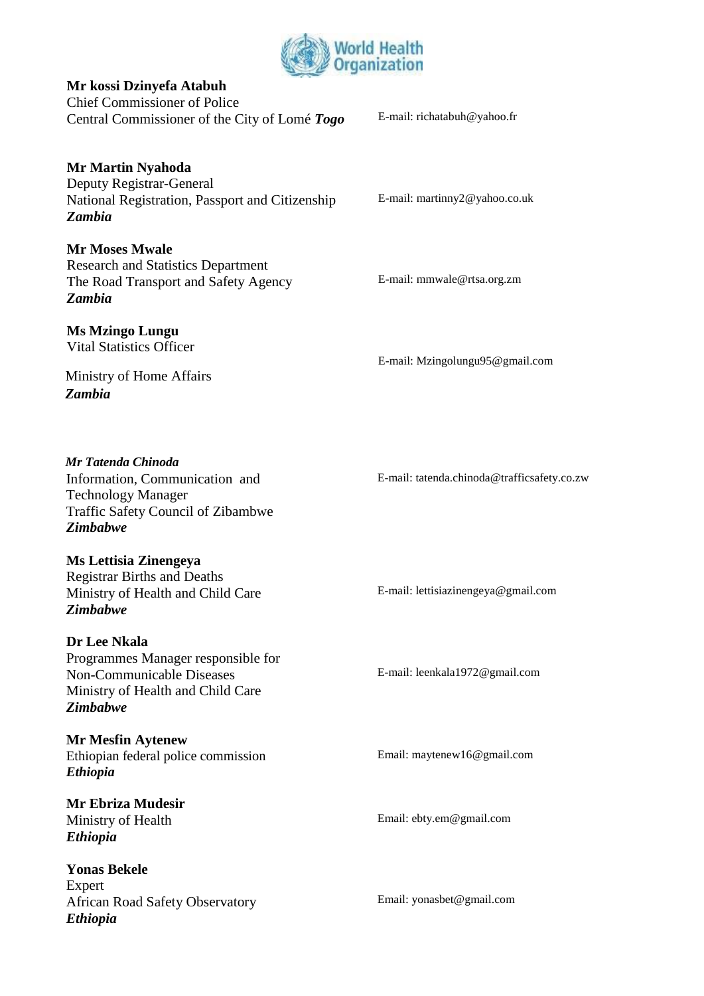

### **Mr kossi Dzinyefa Atabuh**

Chief Commissioner of Police Central Commissioner of the City of Lomé *Togo* E-mail: richatabuh@yahoo.fr

### **Mr Martin Nyahoda**

Deputy Registrar-General National Registration, Passport and Citizenship *Zambia* 

# **Mr Moses Mwale**

Research and Statistics Department The Road Transport and Safety Agency *Zambia* 

### **Ms Mzingo Lungu**

Vital Statistics Officer

E-mail: martinny2@yahoo.co.uk

E-mail: mmwale@rtsa.org.zm

E-mail: Mzingolungu95@gmail.com

### Ministry of Home Affairs *Zambia*

*Mr Tatenda Chinoda*  Information, Communication and Technology Manager Traffic Safety Council of Zibambwe *Zimbabwe* 

## **Ms Lettisia Zinengeya**

Registrar Births and Deaths Ministry of Health and Child Care *Zimbabwe* 

### **Dr Lee Nkala**

Programmes Manager responsible for Non-Communicable Diseases Ministry of Health and Child Care *Zimbabwe* 

**Mr Mesfin Aytenew**  Ethiopian federal police commission *Ethiopia* 

**Mr Ebriza Mudesir**  Ministry of Health *Ethiopia* 

**Yonas Bekele**  Expert African Road Safety Observatory *Ethiopia* 

E-mail: tatenda.chinoda@trafficsafety.co.zw

E-mail: lettisiazinengeya@gmail.com

E-mail: leenkala1972@gmail.com

Email: maytenew16@gmail.com

Email: ebty.em@gmail.com

Email: yonasbet@gmail.com